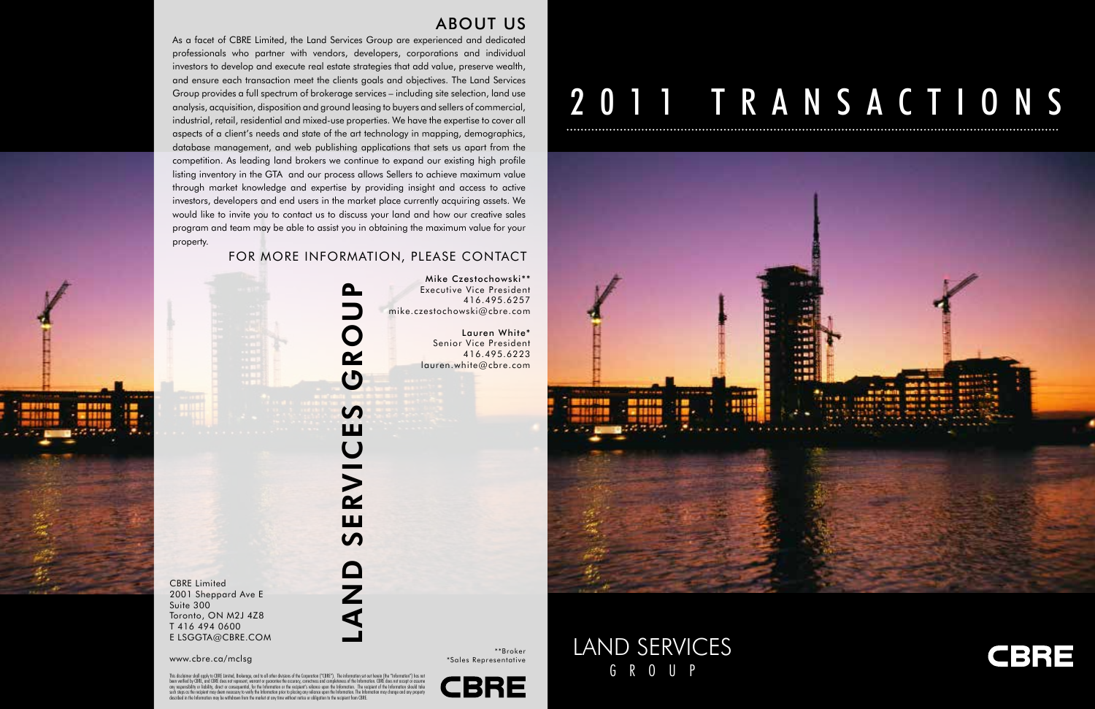As a facet of CBRE Limited, the Land Services Group are experienced and dedicated professionals who partner with vendors, developers, corporations and individual investors to develop and execute real estate strategies that add value, preserve wealth, and ensure each transaction meet the clients goals and objectives. The Land Services Group provides a full spectrum of brokerage services – including site selection, land use analysis, acquisition, disposition and ground leasing to buyers and sellers of commercial, industrial, retail, residential and mixed-use properties. We have the expertise to cover all aspects of a client's needs and state of the art technology in mapping, demographics, database management, and web publishing applications that sets us apart from the competition. As leading land brokers we continue to expand our existing high profile listing inventory in the GTA and our process allows Sellers to achieve maximum value through market knowledge and expertise by providing insight and access to active investors, developers and end users in the market place currently acquiring assets. We would like to invite you to contact us to discuss your land and how our creative sales program and team may be able to assist you in obtaining the maximum value for your property.

## land services group **Q**  $\overline{c}$ S ш SERVIC O<br>N<br>A



**CBRE** Limited 2001 Sheppard Ave E Suite 300 Toronto, ON M2J 4Z8 T 416 494 0600 E LSGGTA@CBRE.COM

land services G R O U P



#### For more information, please contact

Mike Czestochowski\*\* Executive Vice president 416.495.6257 mike.czestochowski@cbre.com

> Lauren White\* Senior Vice President 416.495.6223 lauren.white@cbre.com



\*\*Broker \*Sales Representative

# 2011 TRANSACTIONS



www.cbre.ca/mclsg

This disclaimer shall apply to CBRE Limited, Brokerage, and to all other divisions of the Corporation ("CBRE"). The information set out herein (the "Information") has no been verified by CBRE, and CBRE does not represent, warrant or guarantee the accuracy, correctness and completeness of the Information. CBRE does not accept or assume<br>such steps as the recipient may deem encossary to verif

### ABOUT US